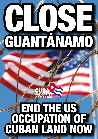# Close GUANTÁNAMO

# **CAMPAIGN** END THE US occupation of Cuban land now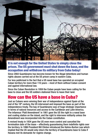

#### It is not enough for the United States to simply close the prison. The US government must shut down the base, end the occupation and withdraw its military from Cuba today!

Since 2002 Guantánamo has become known for the illegal detentions and human rights abuses carried out at the US prison camp in eastern Cuba.

Far less publicised is the fact that a US naval base has operated on occupied Cuban territory for more than 110 years – most of them without Cuban consent and against international law.

Since the Cuban Revolution in 1959 the Cuban people have been calling for the base to close and the US soldiers stationed there to leave their land.

## How can the US have a base in Cuba?

Just as Cubans were winning their war of independence against Spain at the end of the 19th century, the US intervened and imposed the base as part of the independence treaty. The bay of Guantánamo was of huge strategic importance in terms of natural resources and access to the Caribbean and Latin America. The infamous 'Platt Amendment' in 1901 gave the US the right to a naval base and coaling station on the island, and the right to intervene militarily unless the Amendment was incorporated into the Cuban constitution.

A revised treaty in 1934 gave the US even more control and cancelled the termination date of the lease – effectively guaranteeing them indefinite rights over the territory. In 1996 President Bill Clinton introduced the Helms-Burton Law which implied that the US would only return the territory of Guantánamo base to Cuba if Havana met its demands for regime change.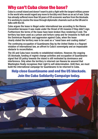## Why can't Cuba close the base?

Cuba is a small island and doesn't want to pick a fight with the largest military power in the world who would regard any move to forcibly evict them as an act of war. Cuba has already suffered more than 50 years of US economic warfare from the blockade. It is working to resolve the issue through diplomatic channels such as the UN and in talks with the US.

Cuba argues the lease is illegal under international law according to the Vienna Convention because it was made under the threat of US invasion if they didn't sign. Furthermore the terms of the lease have been broken thus rendering it void. The territory has been used as a prison and torture camp and for invasions to Haiti and the Dominican Republic and aggression against Cuba, when the lease clearly stated the territory was to be used as a "naval base and coaling station".

The continuing occupation of Guantánamo Bay by the United States is a flagrant violation of international law, an affront to Cuba's sovereignty and an impassable obstacle to reconciliation.

The US and Cuba have recently re-established relations. However, the ongoing US blockade, funding of regime change activities and occupation of Guantánamo signal that US policy towards the island is still motivated by dominance and interference. Only when the territory is returned can Havana be assured that Washington finally recognises their right to self-determination. Until then, we must build the international campaign for Guantánamo to be returned to Cuba.

#### Help close Guantánamo and end the US blockade. Join the Cuba Solidarity Campaign today.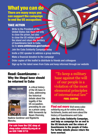#### What you can do There are many ways you can support the campaign to end the US occupation:

#### **TAKE ACTION**

Write to the President of the United States: Ask them not only to close the prison, but also to close the US military base on the island and return the territory of Guantánamo back to Cuba. Go to www.whitehouse.gov/contact

- **Join the Cuba Solidarity Campaign today**
- **I** Invite a CSC speaker to address a group meeting
- n Make a financial donation to the campaign
- n Order copies of this leaflet to distribute to friends and colleagues
- Sign up for the latest news from Cuba and keep informed through our website

#### Read: Guantánamo – Why the illegal base should be returned to Cuba



A critical history of the US base in Cuba, addressing the historical debate about the legality of the US occupation, preceding its use as a prison camp. With forewords by Noam Chomsky,

Nadime Gordimer and Rigoberta Menchu.

For sale from the CSC shop at shop.cuba-solidarity.org.uk or on 020 7490 5715

"To keep a military base against the will of our people is a violation of the most elemental principles of international law" Fidel Castro

**Find out more** Visit www.cubasolidarity.org.uk for online articles, factsheets, books and more about the history of Guantánamo and Cuba

Join the Cuba Solidarity Campaign, and help us campaign for an end to the US blockade and the return of Guantánamo to the people of Cuba. For further details please return the form overleaf.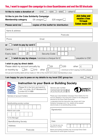#### Yes, I want to support the campaign to close Guantánamo and end the US blockade

| I'd like to make a donation of                                                                                                                                                                                              | £10 l                                                                                         | £25<br>f50                                                                                                                                                                                                                                                                                                                                 | other £                                                                           |  |
|-----------------------------------------------------------------------------------------------------------------------------------------------------------------------------------------------------------------------------|-----------------------------------------------------------------------------------------------|--------------------------------------------------------------------------------------------------------------------------------------------------------------------------------------------------------------------------------------------------------------------------------------------------------------------------------------------|-----------------------------------------------------------------------------------|--|
| I'd like to join the Cuba Solidarity Campaign<br><b>Membership category</b>                                                                                                                                                 | £8 uwaged                                                                                     | £20 waged                                                                                                                                                                                                                                                                                                                                  | <b>Join today and</b><br>receive a free<br>15 track                               |  |
| Please send me                                                                                                                                                                                                              |                                                                                               | copies of this leaflet for distribution                                                                                                                                                                                                                                                                                                    | <b>Cuban music CD!</b>                                                            |  |
| Name & address:                                                                                                                                                                                                             |                                                                                               |                                                                                                                                                                                                                                                                                                                                            |                                                                                   |  |
|                                                                                                                                                                                                                             |                                                                                               |                                                                                                                                                                                                                                                                                                                                            | Postcode:                                                                         |  |
| Phone:                                                                                                                                                                                                                      | Email:                                                                                        |                                                                                                                                                                                                                                                                                                                                            |                                                                                   |  |
| I wish to pay by card £<br>or                                                                                                                                                                                               |                                                                                               |                                                                                                                                                                                                                                                                                                                                            |                                                                                   |  |
| Card no<br>Security Code<br>Expiry date<br>I wish to pay by cheque. I enclose a cheque for £<br>payable to CSC<br>or                                                                                                        |                                                                                               |                                                                                                                                                                                                                                                                                                                                            |                                                                                   |  |
| Please debit my account annually by<br>£5<br>or monthly by<br>Annual and monthly debit will be made on 15th of the month form when membership is due.<br>I am happy for you to pass on my details to my local CSC group too | £10<br>other                                                                                  | £8<br>£20<br>£                                                                                                                                                                                                                                                                                                                             | other<br>£<br>(minimum of £5 if paying monthly please)<br><b>YES</b><br><b>NO</b> |  |
|                                                                                                                                                                                                                             |                                                                                               | <b>Instruction to your Bank or Building Society</b>                                                                                                                                                                                                                                                                                        |                                                                                   |  |
|                                                                                                                                                                                                                             | Please fill in the form and send to:<br>CSC, c/o Unite, 33-37 Moreland St,<br>London EC1V 8BB |                                                                                                                                                                                                                                                                                                                                            | 9                                                                                 |  |
| Name(s) of account holders                                                                                                                                                                                                  |                                                                                               | Please pay Cuba Solidarity Campaign Direct Debits from the<br>account detailed in this Instruction subject to the safeguards<br>assured by the Direct Debit Guarantee.<br>I understand that this Instruction may remain with Cuba<br>Solidarity Campaign and, if so, details will be passed<br>electronically to my bank/building society. |                                                                                   |  |
| Bank/building society number<br>Branch sort code                                                                                                                                                                            |                                                                                               |                                                                                                                                                                                                                                                                                                                                            |                                                                                   |  |
|                                                                                                                                                                                                                             |                                                                                               | Signature(s)                                                                                                                                                                                                                                                                                                                               |                                                                                   |  |
| To the Manager<br>Bank/Building Society:                                                                                                                                                                                    |                                                                                               | Date:                                                                                                                                                                                                                                                                                                                                      |                                                                                   |  |
| Address:                                                                                                                                                                                                                    |                                                                                               | For internal use only                                                                                                                                                                                                                                                                                                                      |                                                                                   |  |
| Postcode:                                                                                                                                                                                                                   |                                                                                               | Reference number<br>Banks and building societies may not accept Direct Debit<br>Instructions for some types of account.                                                                                                                                                                                                                    |                                                                                   |  |